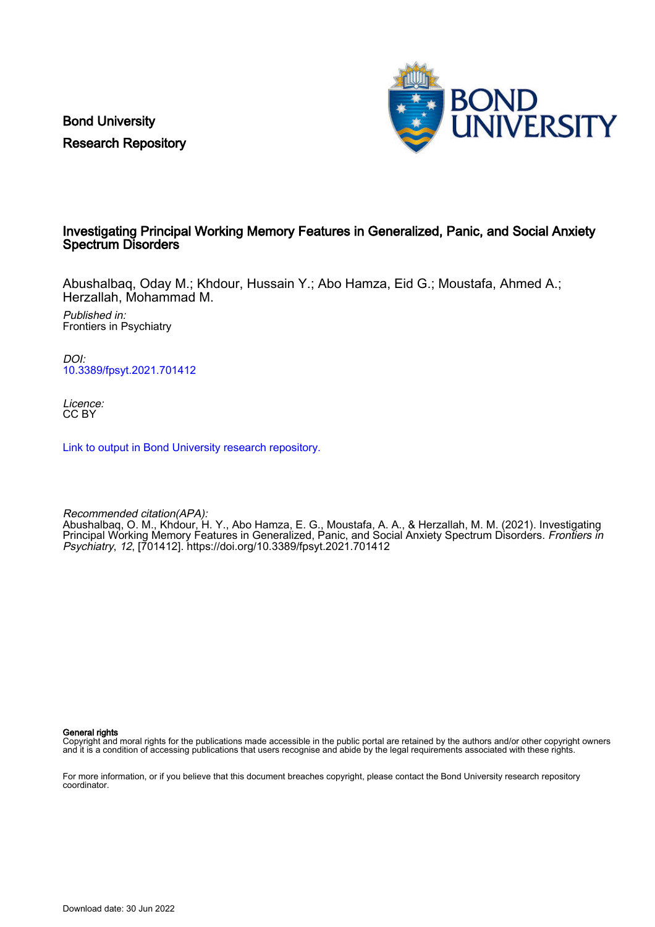Bond University Research Repository



## Investigating Principal Working Memory Features in Generalized, Panic, and Social Anxiety Spectrum Disorders

Abushalbaq, Oday M.; Khdour, Hussain Y.; Abo Hamza, Eid G.; Moustafa, Ahmed A.; Herzallah, Mohammad M.

Published in: Frontiers in Psychiatry

DOI: [10.3389/fpsyt.2021.701412](https://doi.org/10.3389/fpsyt.2021.701412)

Licence: CC BY

[Link to output in Bond University research repository.](https://research.bond.edu.au/en/publications/fca73ee2-ea6b-4d55-8169-eaf57435831f)

Recommended citation(APA): Abushalbaq, O. M., Khdour, H. Y., Abo Hamza, E. G., Moustafa, A. A., & Herzallah, M. M. (2021). Investigating Principal Working Memory Features in Generalized, Panic, and Social Anxiety Spectrum Disorders. *Frontiers in* Psychiatry, 12, [701412]. <https://doi.org/10.3389/fpsyt.2021.701412>

General rights

Copyright and moral rights for the publications made accessible in the public portal are retained by the authors and/or other copyright owners and it is a condition of accessing publications that users recognise and abide by the legal requirements associated with these rights.

For more information, or if you believe that this document breaches copyright, please contact the Bond University research repository coordinator.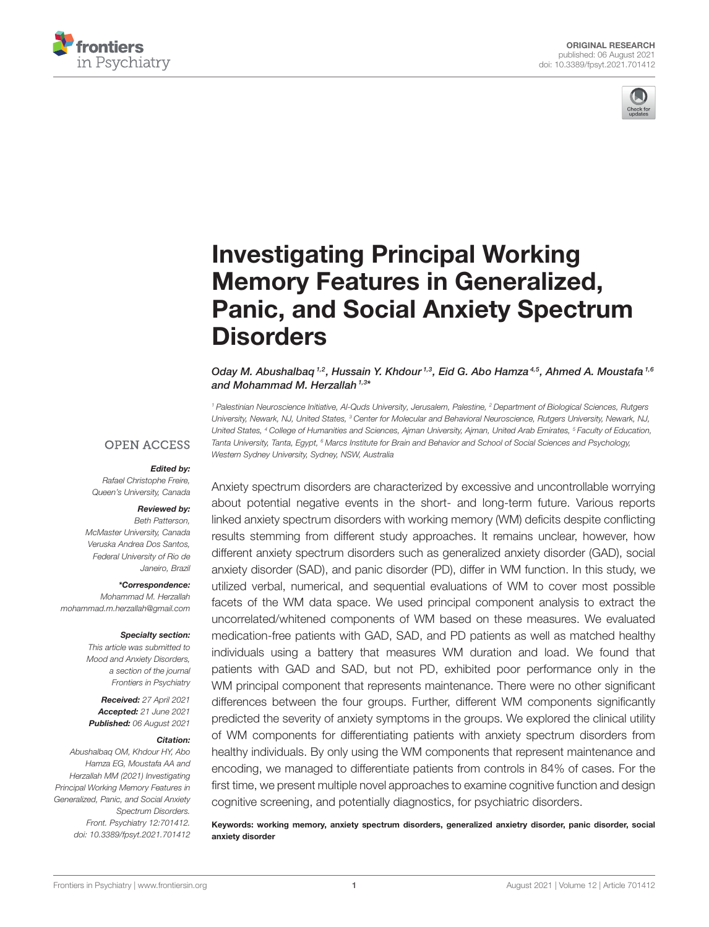



# Investigating Principal Working Memory Features in Generalized, [Panic, and Social Anxiety Spectrum](https://www.frontiersin.org/articles/10.3389/fpsyt.2021.701412/full) **Disorders**

Oday M. Abushalbaq<sup>1,2</sup>, Hussain Y. Khdour<sup>1,3</sup>, Eid G. Abo Hamza<sup>4,5</sup>, Ahmed A. Moustafa<sup>1,6</sup> and Mohammad M. Herzallah <sup>1,3\*</sup>

*<sup>1</sup> Palestinian Neuroscience Initiative, Al-Quds University, Jerusalem, Palestine, <sup>2</sup> Department of Biological Sciences, Rutgers University, Newark, NJ, United States, <sup>3</sup> Center for Molecular and Behavioral Neuroscience, Rutgers University, Newark, NJ, United States, <sup>4</sup> College of Humanities and Sciences, Ajman University, Ajman, United Arab Emirates, <sup>5</sup> Faculty of Education, Tanta University, Tanta, Egypt, <sup>6</sup> Marcs Institute for Brain and Behavior and School of Social Sciences and Psychology, Western Sydney University, Sydney, NSW, Australia*

#### **OPEN ACCESS**

#### Edited by:

*Rafael Christophe Freire, Queen's University, Canada*

#### Reviewed by:

*Beth Patterson, McMaster University, Canada Veruska Andrea Dos Santos, Federal University of Rio de Janeiro, Brazil*

#### \*Correspondence:

*Mohammad M. Herzallah [mohammad.m.herzallah@gmail.com](mailto:mohammad.m.herzallah@gmail.com)*

#### Specialty section:

*This article was submitted to Mood and Anxiety Disorders, a section of the journal Frontiers in Psychiatry*

Received: *27 April 2021* Accepted: *21 June 2021* Published: *06 August 2021*

#### Citation:

*Abushalbaq OM, Khdour HY, Abo Hamza EG, Moustafa AA and Herzallah MM (2021) Investigating Principal Working Memory Features in Generalized, Panic, and Social Anxiety Spectrum Disorders. Front. Psychiatry 12:701412. doi: [10.3389/fpsyt.2021.701412](https://doi.org/10.3389/fpsyt.2021.701412)*

Anxiety spectrum disorders are characterized by excessive and uncontrollable worrying about potential negative events in the short- and long-term future. Various reports linked anxiety spectrum disorders with working memory (WM) deficits despite conflicting results stemming from different study approaches. It remains unclear, however, how different anxiety spectrum disorders such as generalized anxiety disorder (GAD), social anxiety disorder (SAD), and panic disorder (PD), differ in WM function. In this study, we utilized verbal, numerical, and sequential evaluations of WM to cover most possible facets of the WM data space. We used principal component analysis to extract the uncorrelated/whitened components of WM based on these measures. We evaluated medication-free patients with GAD, SAD, and PD patients as well as matched healthy individuals using a battery that measures WM duration and load. We found that patients with GAD and SAD, but not PD, exhibited poor performance only in the WM principal component that represents maintenance. There were no other significant differences between the four groups. Further, different WM components significantly predicted the severity of anxiety symptoms in the groups. We explored the clinical utility of WM components for differentiating patients with anxiety spectrum disorders from healthy individuals. By only using the WM components that represent maintenance and encoding, we managed to differentiate patients from controls in 84% of cases. For the first time, we present multiple novel approaches to examine cognitive function and design cognitive screening, and potentially diagnostics, for psychiatric disorders.

Keywords: working memory, anxiety spectrum disorders, generalized anxietry disorder, panic disorder, social anxiety disorder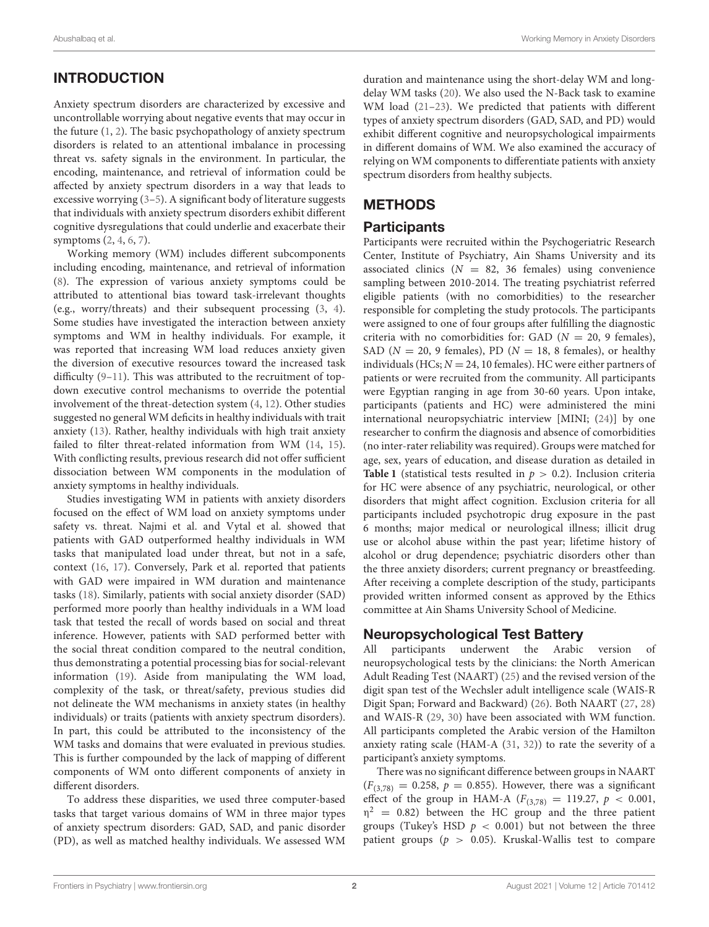# INTRODUCTION

Anxiety spectrum disorders are characterized by excessive and uncontrollable worrying about negative events that may occur in the future [\(1,](#page-8-0) [2\)](#page-8-1). The basic psychopathology of anxiety spectrum disorders is related to an attentional imbalance in processing threat vs. safety signals in the environment. In particular, the encoding, maintenance, and retrieval of information could be affected by anxiety spectrum disorders in a way that leads to excessive worrying [\(3](#page-8-2)[–5\)](#page-8-3). A significant body of literature suggests that individuals with anxiety spectrum disorders exhibit different cognitive dysregulations that could underlie and exacerbate their symptoms [\(2,](#page-8-1) [4,](#page-8-4) [6,](#page-8-5) [7\)](#page-8-6).

Working memory (WM) includes different subcomponents including encoding, maintenance, and retrieval of information [\(8\)](#page-8-7). The expression of various anxiety symptoms could be attributed to attentional bias toward task-irrelevant thoughts (e.g., worry/threats) and their subsequent processing [\(3,](#page-8-2) [4\)](#page-8-4). Some studies have investigated the interaction between anxiety symptoms and WM in healthy individuals. For example, it was reported that increasing WM load reduces anxiety given the diversion of executive resources toward the increased task difficulty [\(9](#page-8-8)[–11\)](#page-8-9). This was attributed to the recruitment of topdown executive control mechanisms to override the potential involvement of the threat-detection system [\(4,](#page-8-4) [12\)](#page-8-10). Other studies suggested no general WM deficits in healthy individuals with trait anxiety [\(13\)](#page-8-11). Rather, healthy individuals with high trait anxiety failed to filter threat-related information from WM [\(14,](#page-8-12) [15\)](#page-8-13). With conflicting results, previous research did not offer sufficient dissociation between WM components in the modulation of anxiety symptoms in healthy individuals.

Studies investigating WM in patients with anxiety disorders focused on the effect of WM load on anxiety symptoms under safety vs. threat. Najmi et al. and Vytal et al. showed that patients with GAD outperformed healthy individuals in WM tasks that manipulated load under threat, but not in a safe, context [\(16,](#page-8-14) [17\)](#page-8-15). Conversely, Park et al. reported that patients with GAD were impaired in WM duration and maintenance tasks [\(18\)](#page-8-16). Similarly, patients with social anxiety disorder (SAD) performed more poorly than healthy individuals in a WM load task that tested the recall of words based on social and threat inference. However, patients with SAD performed better with the social threat condition compared to the neutral condition, thus demonstrating a potential processing bias for social-relevant information [\(19\)](#page-8-17). Aside from manipulating the WM load, complexity of the task, or threat/safety, previous studies did not delineate the WM mechanisms in anxiety states (in healthy individuals) or traits (patients with anxiety spectrum disorders). In part, this could be attributed to the inconsistency of the WM tasks and domains that were evaluated in previous studies. This is further compounded by the lack of mapping of different components of WM onto different components of anxiety in different disorders.

To address these disparities, we used three computer-based tasks that target various domains of WM in three major types of anxiety spectrum disorders: GAD, SAD, and panic disorder (PD), as well as matched healthy individuals. We assessed WM

duration and maintenance using the short-delay WM and longdelay WM tasks [\(20\)](#page-8-18). We also used the N-Back task to examine WM load [\(21](#page-8-19)[–23\)](#page-8-20). We predicted that patients with different types of anxiety spectrum disorders (GAD, SAD, and PD) would exhibit different cognitive and neuropsychological impairments in different domains of WM. We also examined the accuracy of relying on WM components to differentiate patients with anxiety spectrum disorders from healthy subjects.

# **METHODS**

# **Participants**

Participants were recruited within the Psychogeriatric Research Center, Institute of Psychiatry, Ain Shams University and its associated clinics  $(N = 82, 36$  females) using convenience sampling between 2010-2014. The treating psychiatrist referred eligible patients (with no comorbidities) to the researcher responsible for completing the study protocols. The participants were assigned to one of four groups after fulfilling the diagnostic criteria with no comorbidities for: GAD ( $N = 20$ , 9 females), SAD ( $N = 20$ , 9 females), PD ( $N = 18$ , 8 females), or healthy individuals (HCs;  $N = 24$ , 10 females). HC were either partners of patients or were recruited from the community. All participants were Egyptian ranging in age from 30-60 years. Upon intake, participants (patients and HC) were administered the mini international neuropsychiatric interview [MINI; [\(24\)](#page-8-21)] by one researcher to confirm the diagnosis and absence of comorbidities (no inter-rater reliability was required). Groups were matched for age, sex, years of education, and disease duration as detailed in **[Table 1](#page-3-0)** (statistical tests resulted in  $p > 0.2$ ). Inclusion criteria for HC were absence of any psychiatric, neurological, or other disorders that might affect cognition. Exclusion criteria for all participants included psychotropic drug exposure in the past 6 months; major medical or neurological illness; illicit drug use or alcohol abuse within the past year; lifetime history of alcohol or drug dependence; psychiatric disorders other than the three anxiety disorders; current pregnancy or breastfeeding. After receiving a complete description of the study, participants provided written informed consent as approved by the Ethics committee at Ain Shams University School of Medicine.

# Neuropsychological Test Battery

All participants underwent the Arabic version of neuropsychological tests by the clinicians: the North American Adult Reading Test (NAART) [\(25\)](#page-8-22) and the revised version of the digit span test of the Wechsler adult intelligence scale (WAIS-R Digit Span; Forward and Backward) [\(26\)](#page-8-23). Both NAART [\(27,](#page-8-24) [28\)](#page-8-25) and WAIS-R [\(29,](#page-8-26) [30\)](#page-8-27) have been associated with WM function. All participants completed the Arabic version of the Hamilton anxiety rating scale (HAM-A [\(31,](#page-8-28) [32\)](#page-8-29)) to rate the severity of a participant's anxiety symptoms.

There was no significant difference between groups in NAART  $(F_{(3,78)} = 0.258, p = 0.855)$ . However, there was a significant effect of the group in HAM-A  $(F_{(3,78)} = 119.27, p < 0.001,$  $\eta^2$  = 0.82) between the HC group and the three patient groups (Tukey's HSD  $p < 0.001$ ) but not between the three patient groups ( $p > 0.05$ ). Kruskal-Wallis test to compare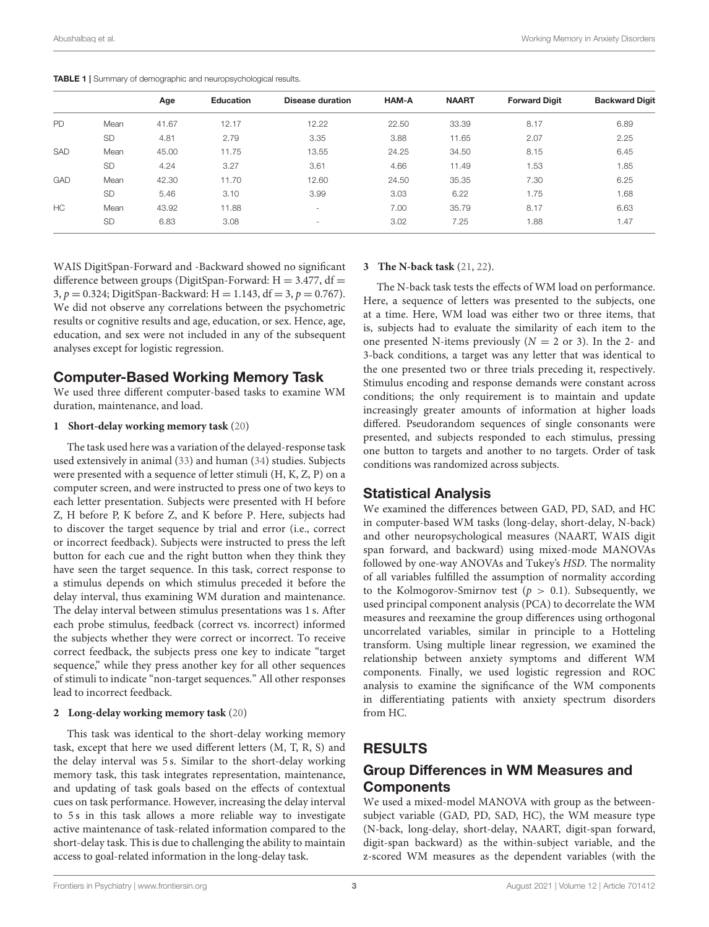<span id="page-3-0"></span>TABLE 1 | Summary of demographic and neuropsychological results.

|            |           | Age   | Education | <b>Disease duration</b>  | <b>HAM-A</b> | <b>NAART</b> | <b>Forward Digit</b> | <b>Backward Digit</b> |
|------------|-----------|-------|-----------|--------------------------|--------------|--------------|----------------------|-----------------------|
| <b>PD</b>  | Mean      | 41.67 | 12.17     | 12.22                    | 22.50        | 33.39        | 8.17                 | 6.89                  |
|            | <b>SD</b> | 4.81  | 2.79      | 3.35                     | 3.88         | 11.65        | 2.07                 | 2.25                  |
| <b>SAD</b> | Mean      | 45.00 | 11.75     | 13.55                    | 24.25        | 34.50        | 8.15                 | 6.45                  |
|            | <b>SD</b> | 4.24  | 3.27      | 3.61                     | 4.66         | 11.49        | 1.53                 | 1.85                  |
| <b>GAD</b> | Mean      | 42.30 | 11.70     | 12.60                    | 24.50        | 35.35        | 7.30                 | 6.25                  |
|            | <b>SD</b> | 5.46  | 3.10      | 3.99                     | 3.03         | 6.22         | 1.75                 | 1.68                  |
| HC         | Mean      | 43.92 | 11.88     |                          | 7.00         | 35.79        | 8.17                 | 6.63                  |
|            | <b>SD</b> | 6.83  | 3.08      | $\overline{\phantom{a}}$ | 3.02         | 7.25         | 1.88                 | 1.47                  |

WAIS DigitSpan-Forward and -Backward showed no significant difference between groups (DigitSpan-Forward:  $H = 3.477$ , df = 3,  $p = 0.324$ ; DigitSpan-Backward: H = 1.143, df = 3,  $p = 0.767$ ). We did not observe any correlations between the psychometric results or cognitive results and age, education, or sex. Hence, age, education, and sex were not included in any of the subsequent analyses except for logistic regression.

## Computer-Based Working Memory Task

We used three different computer-based tasks to examine WM duration, maintenance, and load.

#### **1 Short-delay working memory task** [\(20\)](#page-8-18)

The task used here was a variation of the delayed-response task used extensively in animal [\(33\)](#page-8-30) and human [\(34\)](#page-9-0) studies. Subjects were presented with a sequence of letter stimuli (H, K, Z, P) on a computer screen, and were instructed to press one of two keys to each letter presentation. Subjects were presented with H before Z, H before P, K before Z, and K before P. Here, subjects had to discover the target sequence by trial and error (i.e., correct or incorrect feedback). Subjects were instructed to press the left button for each cue and the right button when they think they have seen the target sequence. In this task, correct response to a stimulus depends on which stimulus preceded it before the delay interval, thus examining WM duration and maintenance. The delay interval between stimulus presentations was 1 s. After each probe stimulus, feedback (correct vs. incorrect) informed the subjects whether they were correct or incorrect. To receive correct feedback, the subjects press one key to indicate "target sequence," while they press another key for all other sequences of stimuli to indicate "non-target sequences." All other responses lead to incorrect feedback.

#### **2 Long-delay working memory task** [\(20\)](#page-8-18)

This task was identical to the short-delay working memory task, except that here we used different letters (M, T, R, S) and the delay interval was 5 s. Similar to the short-delay working memory task, this task integrates representation, maintenance, and updating of task goals based on the effects of contextual cues on task performance. However, increasing the delay interval to 5 s in this task allows a more reliable way to investigate active maintenance of task-related information compared to the short-delay task. This is due to challenging the ability to maintain access to goal-related information in the long-delay task.

#### **3 The N-back task** [\(21,](#page-8-19) [22\)](#page-8-31).

The N-back task tests the effects of WM load on performance. Here, a sequence of letters was presented to the subjects, one at a time. Here, WM load was either two or three items, that is, subjects had to evaluate the similarity of each item to the one presented N-items previously  $(N = 2 \text{ or } 3)$ . In the 2- and 3-back conditions, a target was any letter that was identical to the one presented two or three trials preceding it, respectively. Stimulus encoding and response demands were constant across conditions; the only requirement is to maintain and update increasingly greater amounts of information at higher loads differed. Pseudorandom sequences of single consonants were presented, and subjects responded to each stimulus, pressing one button to targets and another to no targets. Order of task conditions was randomized across subjects.

## Statistical Analysis

We examined the differences between GAD, PD, SAD, and HC in computer-based WM tasks (long-delay, short-delay, N-back) and other neuropsychological measures (NAART, WAIS digit span forward, and backward) using mixed-mode MANOVAs followed by one-way ANOVAs and Tukey's HSD. The normality of all variables fulfilled the assumption of normality according to the Kolmogorov-Smirnov test ( $p > 0.1$ ). Subsequently, we used principal component analysis (PCA) to decorrelate the WM measures and reexamine the group differences using orthogonal uncorrelated variables, similar in principle to a Hotteling transform. Using multiple linear regression, we examined the relationship between anxiety symptoms and different WM components. Finally, we used logistic regression and ROC analysis to examine the significance of the WM components in differentiating patients with anxiety spectrum disorders from HC.

# RESULTS

## Group Differences in WM Measures and **Components**

We used a mixed-model MANOVA with group as the betweensubject variable (GAD, PD, SAD, HC), the WM measure type (N-back, long-delay, short-delay, NAART, digit-span forward, digit-span backward) as the within-subject variable, and the z-scored WM measures as the dependent variables (with the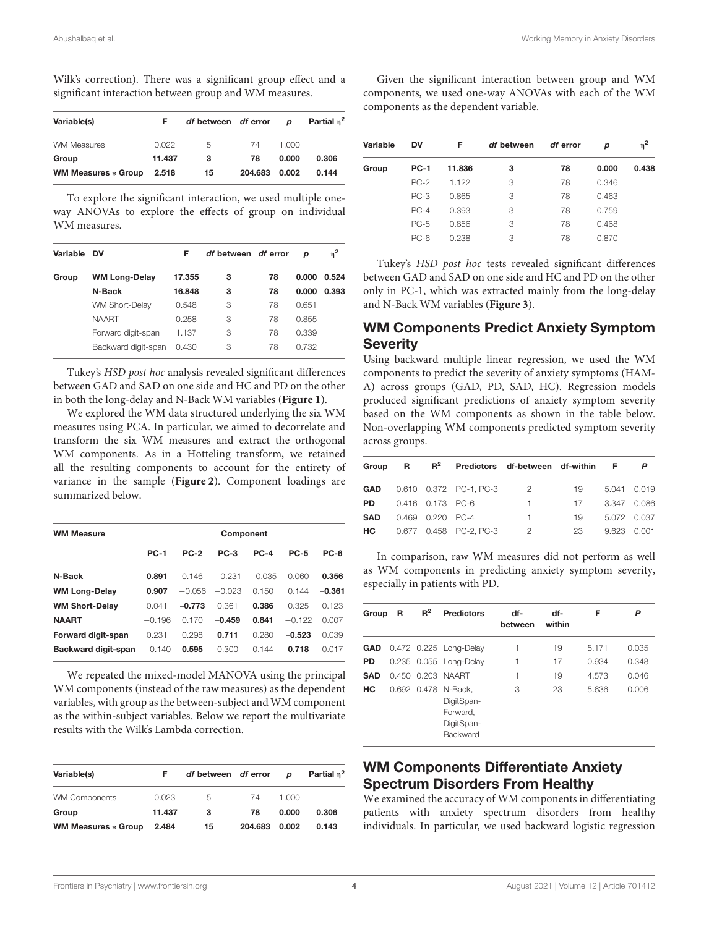Wilk's correction). There was a significant group effect and a significant interaction between group and WM measures.

| Variable(s)                | F      | df between df error |         | D     | Partial n <sup>2</sup> |
|----------------------------|--------|---------------------|---------|-------|------------------------|
| <b>WM Measures</b>         | 0.022  | 5                   | 74      | 1.000 |                        |
| Group                      | 11.437 | 3                   | 78      | 0.000 | 0.306                  |
| <b>WM Measures * Group</b> | 2.518  | 15                  | 204.683 | 0.002 | 0.144                  |

To explore the significant interaction, we used multiple oneway ANOVAs to explore the effects of group on individual WM measures.

| Variable | DV                    | F      | df between df error |    | р     | $\eta^2$ |
|----------|-----------------------|--------|---------------------|----|-------|----------|
| Group    | <b>WM Long-Delay</b>  | 17.355 | з                   | 78 | 0.000 | 0.524    |
|          | N-Back                | 16.848 | з                   | 78 | 0.000 | 0.393    |
|          | <b>WM Short-Delay</b> | 0.548  | 3                   | 78 | 0.651 |          |
|          | <b>NAART</b>          | 0.258  | 3                   | 78 | 0.855 |          |
|          | Forward digit-span    | 1.137  | 3                   | 78 | 0.339 |          |
|          | Backward digit-span   | 0.430  | 3                   | 78 | 0.732 |          |

Tukey's HSD post hoc analysis revealed significant differences between GAD and SAD on one side and HC and PD on the other in both the long-delay and N-Back WM variables (**[Figure 1](#page-5-0)**).

We explored the WM data structured underlying the six WM measures using PCA. In particular, we aimed to decorrelate and transform the six WM measures and extract the orthogonal WM components. As in a Hotteling transform, we retained all the resulting components to account for the entirety of variance in the sample (**[Figure 2](#page-5-1)**). Component loadings are summarized below.

| <b>WM Measure</b>     | Component   |          |          |          |             |          |  |
|-----------------------|-------------|----------|----------|----------|-------------|----------|--|
|                       | <b>PC-1</b> | $PC-2$   | $PC-3$   | $PC-4$   | <b>PC-5</b> | $PC-6$   |  |
| N-Back                | 0.891       | 0.146    | $-0.231$ | $-0.035$ | 0.060       | 0.356    |  |
| <b>WM Long-Delay</b>  | 0.907       | $-0.056$ | $-0.023$ | 0.150    | 0.144       | $-0.361$ |  |
| <b>WM Short-Delay</b> | 0.041       | $-0.773$ | 0.361    | 0.386    | 0.325       | 0.123    |  |
| <b>NAART</b>          | $-0.196$    | 0.170    | $-0.459$ | 0.841    | $-0.122$    | 0.007    |  |
| Forward digit-span    | 0.231       | 0.298    | 0.711    | 0.280    | $-0.523$    | 0.039    |  |
| Backward digit-span   | $-0.140$    | 0.595    | 0.300    | 0.144    | 0.718       | 0.017    |  |

We repeated the mixed-model MANOVA using the principal WM components (instead of the raw measures) as the dependent variables, with group as the between-subject and WM component as the within-subject variables. Below we report the multivariate results with the Wilk's Lambda correction.

| Variable(s)                | F      | df between df error |         | D     | Partial $n^2$ |
|----------------------------|--------|---------------------|---------|-------|---------------|
| <b>WM Components</b>       | 0.023  | 5                   | 74      | 1.000 |               |
| Group                      | 11.437 | 3                   | 78      | 0.000 | 0.306         |
| <b>WM Measures * Group</b> | 2.484  | 15                  | 204.683 | 0.002 | 0.143         |

Given the significant interaction between group and WM components, we used one-way ANOVAs with each of the WM components as the dependent variable.

| Variable | DV          | F      | df between | df error | p     | η <sup>2</sup> |
|----------|-------------|--------|------------|----------|-------|----------------|
| Group    | <b>PC-1</b> | 11.836 | 3          | 78       | 0.000 | 0.438          |
|          | $PC-2$      | 1.122  | 3          | 78       | 0.346 |                |
|          | $PC-3$      | 0.865  | 3          | 78       | 0.463 |                |
|          | $PC-4$      | 0.393  | 3          | 78       | 0.759 |                |
|          | $PC-5$      | 0.856  | 3          | 78       | 0.468 |                |
|          | $PC-6$      | 0.238  | 3          | 78       | 0.870 |                |
|          |             |        |            |          |       |                |

Tukey's HSD post hoc tests revealed significant differences between GAD and SAD on one side and HC and PD on the other only in PC-1, which was extracted mainly from the long-delay and N-Back WM variables (**[Figure 3](#page-6-0)**).

# WM Components Predict Anxiety Symptom **Severity**

Using backward multiple linear regression, we used the WM components to predict the severity of anxiety symptoms (HAM-A) across groups (GAD, PD, SAD, HC). Regression models produced significant predictions of anxiety symptom severity based on the WM components as shown in the table below. Non-overlapping WM components predicted symptom severity across groups.

| Group      | R | $R^2$            |                        | Predictors df-between df-within |    | F     |             |
|------------|---|------------------|------------------------|---------------------------------|----|-------|-------------|
| <b>GAD</b> |   |                  | 0.610 0.372 PC-1, PC-3 | 2                               | 19 |       | 5.041 0.019 |
| PD.        |   | 0.416 0.173 PC-6 |                        |                                 | 17 |       | 3.347 0.086 |
| <b>SAD</b> |   | 0.469 0.220 PC-4 |                        | 1                               | 19 |       | 5.072 0.037 |
| HC.        |   |                  | 0.677 0.458 PC-2, PC-3 | 2                               | 23 | 9.623 | 0.001       |
|            |   |                  |                        |                                 |    |       |             |

In comparison, raw WM measures did not perform as well as WM components in predicting anxiety symptom severity, especially in patients with PD.

| Group      | R | $R^2$ | <b>Predictors</b>                                                              | df-<br>between | df-<br>within | F     | P     |
|------------|---|-------|--------------------------------------------------------------------------------|----------------|---------------|-------|-------|
|            |   |       | <b>GAD</b> 0.472 0.225 Long-Delay                                              | 1              | 19            | 5.171 | 0.035 |
| <b>PD</b>  |   |       | 0.235 0.055 Long-Delay                                                         | 1              | 17            | 0.934 | 0.348 |
| <b>SAD</b> |   |       | 0.450 0.203 NAART                                                              | 1              | 19            | 4.573 | 0.046 |
| HС         |   |       | 0.692 0.478 N-Back.<br>DigitSpan-<br>Forward.<br>DigitSpan-<br><b>Backward</b> | З              | 23            | 5.636 | 0.006 |

# WM Components Differentiate Anxiety Spectrum Disorders From Healthy

We examined the accuracy of WM components in differentiating patients with anxiety spectrum disorders from healthy individuals. In particular, we used backward logistic regression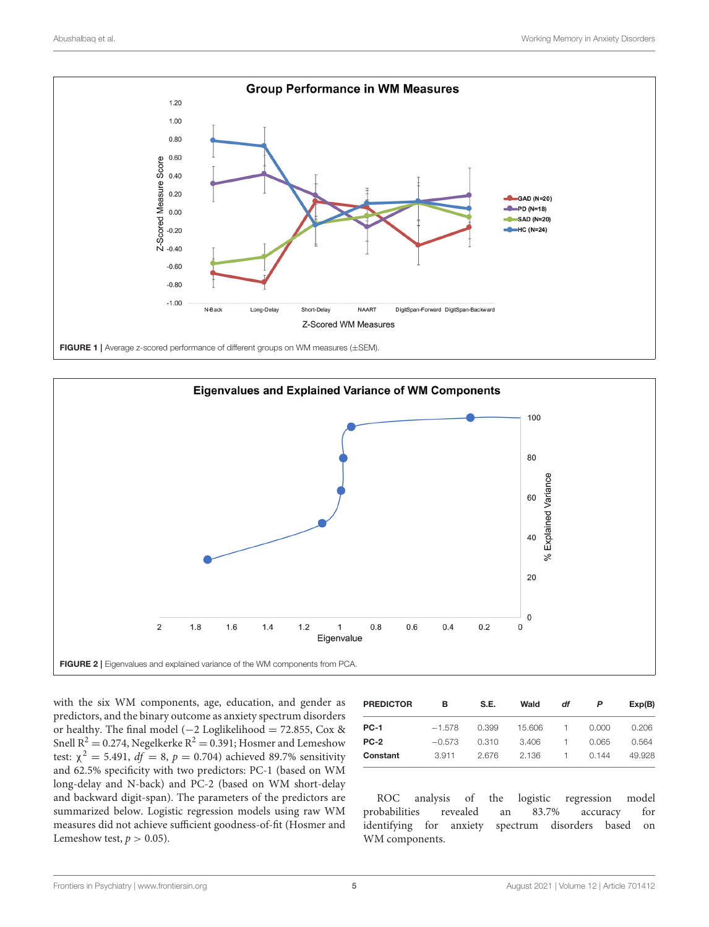

<span id="page-5-0"></span>

<span id="page-5-1"></span>with the six WM components, age, education, and gender as predictors, and the binary outcome as anxiety spectrum disorders or healthy. The final model (−2 Loglikelihood = 72.855, Cox & Snell  $R^2 = 0.274$ , Negelkerke  $R^2 = 0.391$ ; Hosmer and Lemeshow test:  $\chi^2 = 5.491$ ,  $df = 8$ ,  $p = 0.704$ ) achieved 89.7% sensitivity and 62.5% specificity with two predictors: PC-1 (based on WM long-delay and N-back) and PC-2 (based on WM short-delay and backward digit-span). The parameters of the predictors are summarized below. Logistic regression models using raw WM measures did not achieve sufficient goodness-of-fit (Hosmer and Lemeshow test,  $p > 0.05$ ).

| <b>PREDICTOR</b> | в        | S.E.  | Wald   | df | P     | Exp(B) |
|------------------|----------|-------|--------|----|-------|--------|
| <b>PC-1</b>      | $-1.578$ | 0.399 | 15.606 |    | 0.000 | 0.206  |
| $PC-2$           | $-0.573$ | 0.310 | 3.406  |    | 0.065 | 0.564  |
| Constant         | 3.911    | 2.676 | 2.136  |    | 0.144 | 49.928 |

ROC analysis of the logistic regression model probabilities revealed an 83.7% accuracy for identifying for anxiety spectrum disorders based on WM components.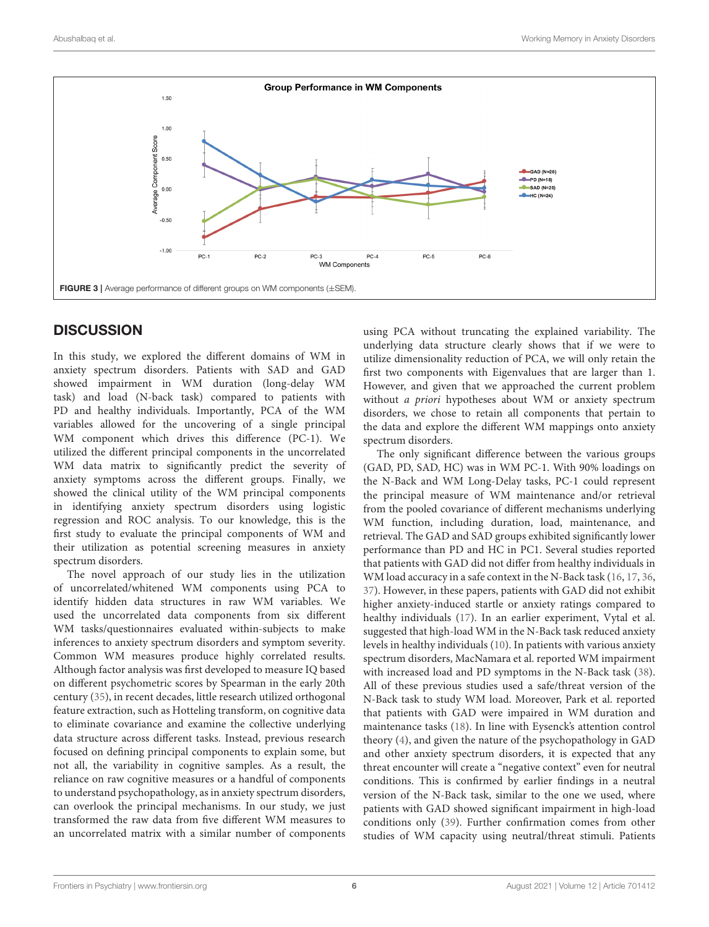

# <span id="page-6-0"></span>**DISCUSSION**

In this study, we explored the different domains of WM in anxiety spectrum disorders. Patients with SAD and GAD showed impairment in WM duration (long-delay WM task) and load (N-back task) compared to patients with PD and healthy individuals. Importantly, PCA of the WM variables allowed for the uncovering of a single principal WM component which drives this difference (PC-1). We utilized the different principal components in the uncorrelated WM data matrix to significantly predict the severity of anxiety symptoms across the different groups. Finally, we showed the clinical utility of the WM principal components in identifying anxiety spectrum disorders using logistic regression and ROC analysis. To our knowledge, this is the first study to evaluate the principal components of WM and their utilization as potential screening measures in anxiety spectrum disorders.

The novel approach of our study lies in the utilization of uncorrelated/whitened WM components using PCA to identify hidden data structures in raw WM variables. We used the uncorrelated data components from six different WM tasks/questionnaires evaluated within-subjects to make inferences to anxiety spectrum disorders and symptom severity. Common WM measures produce highly correlated results. Although factor analysis was first developed to measure IQ based on different psychometric scores by Spearman in the early 20th century [\(35\)](#page-9-1), in recent decades, little research utilized orthogonal feature extraction, such as Hotteling transform, on cognitive data to eliminate covariance and examine the collective underlying data structure across different tasks. Instead, previous research focused on defining principal components to explain some, but not all, the variability in cognitive samples. As a result, the reliance on raw cognitive measures or a handful of components to understand psychopathology, as in anxiety spectrum disorders, can overlook the principal mechanisms. In our study, we just transformed the raw data from five different WM measures to an uncorrelated matrix with a similar number of components using PCA without truncating the explained variability. The underlying data structure clearly shows that if we were to utilize dimensionality reduction of PCA, we will only retain the first two components with Eigenvalues that are larger than 1. However, and given that we approached the current problem without a priori hypotheses about WM or anxiety spectrum disorders, we chose to retain all components that pertain to the data and explore the different WM mappings onto anxiety spectrum disorders.

The only significant difference between the various groups (GAD, PD, SAD, HC) was in WM PC-1. With 90% loadings on the N-Back and WM Long-Delay tasks, PC-1 could represent the principal measure of WM maintenance and/or retrieval from the pooled covariance of different mechanisms underlying WM function, including duration, load, maintenance, and retrieval. The GAD and SAD groups exhibited significantly lower performance than PD and HC in PC1. Several studies reported that patients with GAD did not differ from healthy individuals in WM load accuracy in a safe context in the N-Back task [\(16,](#page-8-14) [17,](#page-8-15) [36,](#page-9-2) [37\)](#page-9-3). However, in these papers, patients with GAD did not exhibit higher anxiety-induced startle or anxiety ratings compared to healthy individuals [\(17\)](#page-8-15). In an earlier experiment, Vytal et al. suggested that high-load WM in the N-Back task reduced anxiety levels in healthy individuals [\(10\)](#page-8-32). In patients with various anxiety spectrum disorders, MacNamara et al. reported WM impairment with increased load and PD symptoms in the N-Back task [\(38\)](#page-9-4). All of these previous studies used a safe/threat version of the N-Back task to study WM load. Moreover, Park et al. reported that patients with GAD were impaired in WM duration and maintenance tasks [\(18\)](#page-8-16). In line with Eysenck's attention control theory [\(4\)](#page-8-4), and given the nature of the psychopathology in GAD and other anxiety spectrum disorders, it is expected that any threat encounter will create a "negative context" even for neutral conditions. This is confirmed by earlier findings in a neutral version of the N-Back task, similar to the one we used, where patients with GAD showed significant impairment in high-load conditions only [\(39\)](#page-9-5). Further confirmation comes from other studies of WM capacity using neutral/threat stimuli. Patients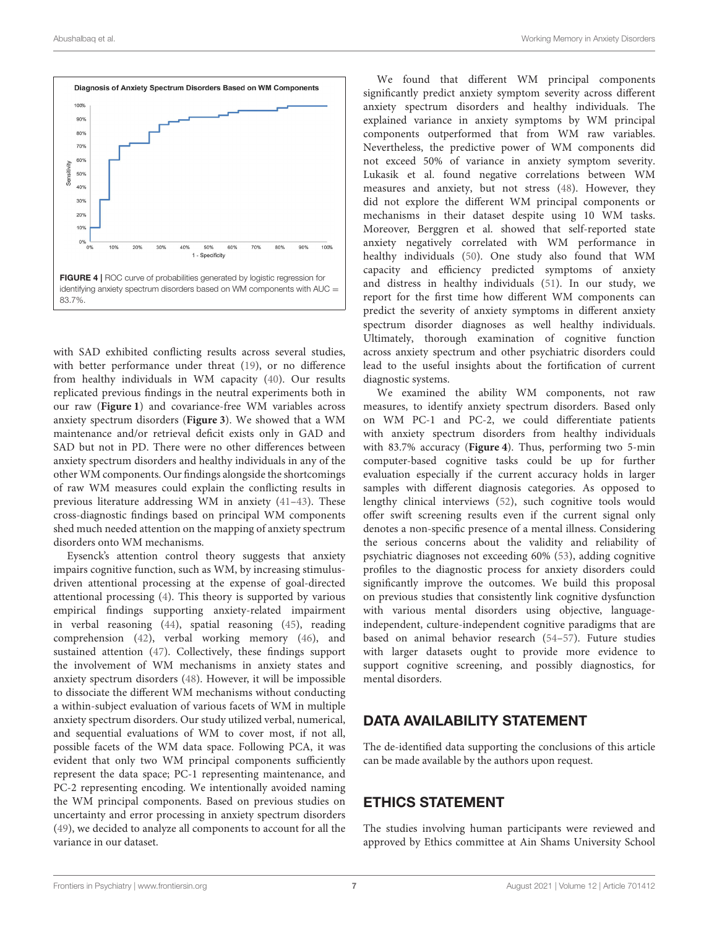

<span id="page-7-0"></span>with SAD exhibited conflicting results across several studies, with better performance under threat [\(19\)](#page-8-17), or no difference from healthy individuals in WM capacity [\(40\)](#page-9-6). Our results replicated previous findings in the neutral experiments both in our raw (**[Figure 1](#page-5-0)**) and covariance-free WM variables across anxiety spectrum disorders (**[Figure 3](#page-6-0)**). We showed that a WM maintenance and/or retrieval deficit exists only in GAD and SAD but not in PD. There were no other differences between anxiety spectrum disorders and healthy individuals in any of the other WM components. Our findings alongside the shortcomings of raw WM measures could explain the conflicting results in previous literature addressing WM in anxiety [\(41](#page-9-7)[–43\)](#page-9-8). These cross-diagnostic findings based on principal WM components shed much needed attention on the mapping of anxiety spectrum disorders onto WM mechanisms.

Eysenck's attention control theory suggests that anxiety impairs cognitive function, such as WM, by increasing stimulusdriven attentional processing at the expense of goal-directed attentional processing [\(4\)](#page-8-4). This theory is supported by various empirical findings supporting anxiety-related impairment in verbal reasoning [\(44\)](#page-9-9), spatial reasoning [\(45\)](#page-9-10), reading comprehension [\(42\)](#page-9-11), verbal working memory [\(46\)](#page-9-12), and sustained attention [\(47\)](#page-9-13). Collectively, these findings support the involvement of WM mechanisms in anxiety states and anxiety spectrum disorders [\(48\)](#page-9-14). However, it will be impossible to dissociate the different WM mechanisms without conducting a within-subject evaluation of various facets of WM in multiple anxiety spectrum disorders. Our study utilized verbal, numerical, and sequential evaluations of WM to cover most, if not all, possible facets of the WM data space. Following PCA, it was evident that only two WM principal components sufficiently represent the data space; PC-1 representing maintenance, and PC-2 representing encoding. We intentionally avoided naming the WM principal components. Based on previous studies on uncertainty and error processing in anxiety spectrum disorders [\(49\)](#page-9-15), we decided to analyze all components to account for all the variance in our dataset.

We found that different WM principal components significantly predict anxiety symptom severity across different anxiety spectrum disorders and healthy individuals. The explained variance in anxiety symptoms by WM principal components outperformed that from WM raw variables. Nevertheless, the predictive power of WM components did not exceed 50% of variance in anxiety symptom severity. Lukasik et al. found negative correlations between WM measures and anxiety, but not stress [\(48\)](#page-9-14). However, they did not explore the different WM principal components or mechanisms in their dataset despite using 10 WM tasks. Moreover, Berggren et al. showed that self-reported state anxiety negatively correlated with WM performance in healthy individuals [\(50\)](#page-9-16). One study also found that WM capacity and efficiency predicted symptoms of anxiety and distress in healthy individuals [\(51\)](#page-9-17). In our study, we report for the first time how different WM components can predict the severity of anxiety symptoms in different anxiety spectrum disorder diagnoses as well healthy individuals. Ultimately, thorough examination of cognitive function across anxiety spectrum and other psychiatric disorders could lead to the useful insights about the fortification of current diagnostic systems.

We examined the ability WM components, not raw measures, to identify anxiety spectrum disorders. Based only on WM PC-1 and PC-2, we could differentiate patients with anxiety spectrum disorders from healthy individuals with 83.7% accuracy (**[Figure 4](#page-7-0)**). Thus, performing two 5-min computer-based cognitive tasks could be up for further evaluation especially if the current accuracy holds in larger samples with different diagnosis categories. As opposed to lengthy clinical interviews [\(52\)](#page-9-18), such cognitive tools would offer swift screening results even if the current signal only denotes a non-specific presence of a mental illness. Considering the serious concerns about the validity and reliability of psychiatric diagnoses not exceeding 60% [\(53\)](#page-9-19), adding cognitive profiles to the diagnostic process for anxiety disorders could significantly improve the outcomes. We build this proposal on previous studies that consistently link cognitive dysfunction with various mental disorders using objective, languageindependent, culture-independent cognitive paradigms that are based on animal behavior research [\(54–](#page-9-20)[57\)](#page-9-21). Future studies with larger datasets ought to provide more evidence to support cognitive screening, and possibly diagnostics, for mental disorders.

# DATA AVAILABILITY STATEMENT

The de-identified data supporting the conclusions of this article can be made available by the authors upon request.

## ETHICS STATEMENT

The studies involving human participants were reviewed and approved by Ethics committee at Ain Shams University School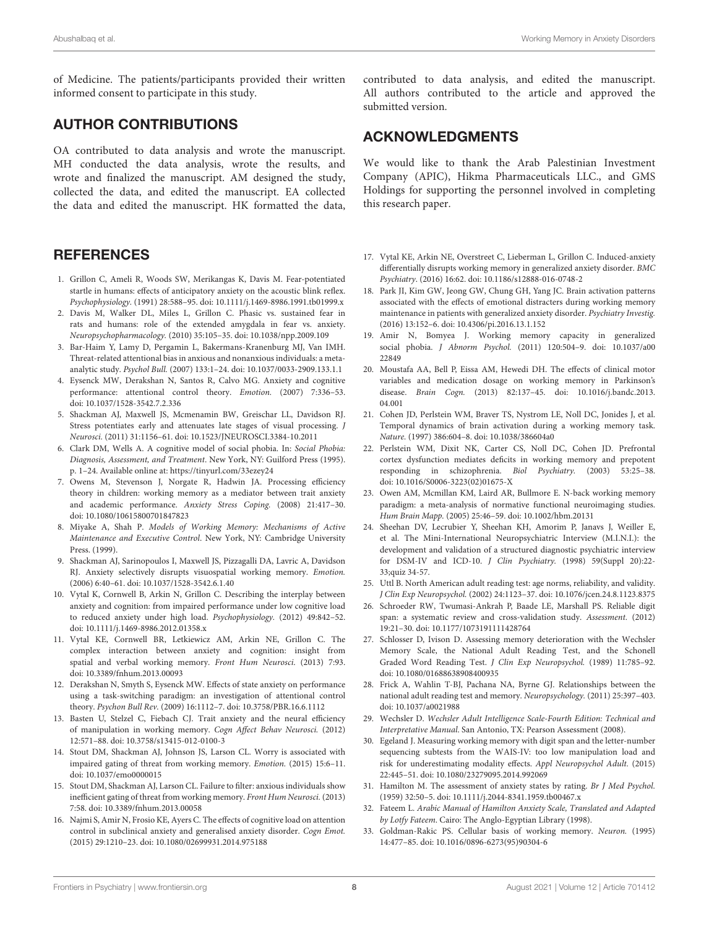of Medicine. The patients/participants provided their written informed consent to participate in this study.

# AUTHOR CONTRIBUTIONS

OA contributed to data analysis and wrote the manuscript. MH conducted the data analysis, wrote the results, and wrote and finalized the manuscript. AM designed the study, collected the data, and edited the manuscript. EA collected the data and edited the manuscript. HK formatted the data,

# **REFERENCES**

- <span id="page-8-0"></span>1. Grillon C, Ameli R, Woods SW, Merikangas K, Davis M. Fear-potentiated startle in humans: effects of anticipatory anxiety on the acoustic blink reflex. Psychophysiology. (1991) 28:588–95. doi: [10.1111/j.1469-8986.1991.tb01999.x](https://doi.org/10.1111/j.1469-8986.1991.tb01999.x)
- <span id="page-8-1"></span>2. Davis M, Walker DL, Miles L, Grillon C. Phasic vs. sustained fear in rats and humans: role of the extended amygdala in fear vs. anxiety. Neuropsychopharmacology. (2010) 35:105–35. doi: [10.1038/npp.2009.109](https://doi.org/10.1038/npp.2009.109)
- <span id="page-8-2"></span>3. Bar-Haim Y, Lamy D, Pergamin L, Bakermans-Kranenburg MJ, Van IMH. Threat-related attentional bias in anxious and nonanxious individuals: a metaanalytic study. Psychol Bull. (2007) 133:1–24. doi: [10.1037/0033-2909.133.1.1](https://doi.org/10.1037/0033-2909.133.1.1)
- <span id="page-8-4"></span>4. Eysenck MW, Derakshan N, Santos R, Calvo MG. Anxiety and cognitive performance: attentional control theory. Emotion. (2007) 7:336–53. doi: [10.1037/1528-3542.7.2.336](https://doi.org/10.1037/1528-3542.7.2.336)
- <span id="page-8-3"></span>5. Shackman AJ, Maxwell JS, Mcmenamin BW, Greischar LL, Davidson RJ. Stress potentiates early and attenuates late stages of visual processing. J Neurosci. (2011) 31:1156–61. doi: [10.1523/JNEUROSCI.3384-10.2011](https://doi.org/10.1523/JNEUROSCI.3384-10.2011)
- <span id="page-8-5"></span>6. Clark DM, Wells A. A cognitive model of social phobia. In: Social Phobia: Diagnosis, Assessment, and Treatment. New York, NY: Guilford Press (1995). p. 1–24. Available online at:<https://tinyurl.com/33ezey24>
- <span id="page-8-6"></span>7. Owens M, Stevenson J, Norgate R, Hadwin JA. Processing efficiency theory in children: working memory as a mediator between trait anxiety and academic performance. Anxiety Stress Coping. (2008) 21:417–30. doi: [10.1080/10615800701847823](https://doi.org/10.1080/10615800701847823)
- <span id="page-8-7"></span>8. Miyake A, Shah P. Models of Working Memory: Mechanisms of Active Maintenance and Executive Control. New York, NY: Cambridge University Press. (1999).
- <span id="page-8-8"></span>9. Shackman AJ, Sarinopoulos I, Maxwell JS, Pizzagalli DA, Lavric A, Davidson RJ. Anxiety selectively disrupts visuospatial working memory. Emotion. (2006) 6:40–61. doi: [10.1037/1528-3542.6.1.40](https://doi.org/10.1037/1528-3542.6.1.40)
- <span id="page-8-32"></span>10. Vytal K, Cornwell B, Arkin N, Grillon C. Describing the interplay between anxiety and cognition: from impaired performance under low cognitive load to reduced anxiety under high load. Psychophysiology. (2012) 49:842–52. doi: [10.1111/j.1469-8986.2012.01358.x](https://doi.org/10.1111/j.1469-8986.2012.01358.x)
- <span id="page-8-9"></span>11. Vytal KE, Cornwell BR, Letkiewicz AM, Arkin NE, Grillon C. The complex interaction between anxiety and cognition: insight from spatial and verbal working memory. Front Hum Neurosci. (2013) 7:93. doi: [10.3389/fnhum.2013.00093](https://doi.org/10.3389/fnhum.2013.00093)
- <span id="page-8-10"></span>12. Derakshan N, Smyth S, Eysenck MW. Effects of state anxiety on performance using a task-switching paradigm: an investigation of attentional control theory. Psychon Bull Rev. (2009) 16:1112–7. doi: [10.3758/PBR.16.6.1112](https://doi.org/10.3758/PBR.16.6.1112)
- <span id="page-8-11"></span>13. Basten U, Stelzel C, Fiebach CJ. Trait anxiety and the neural efficiency of manipulation in working memory. Cogn Affect Behav Neurosci. (2012) 12:571–88. doi: [10.3758/s13415-012-0100-3](https://doi.org/10.3758/s13415-012-0100-3)
- <span id="page-8-12"></span>14. Stout DM, Shackman AJ, Johnson JS, Larson CL. Worry is associated with impaired gating of threat from working memory. Emotion. (2015) 15:6–11. doi: [10.1037/emo0000015](https://doi.org/10.1037/emo0000015)
- <span id="page-8-13"></span>15. Stout DM, Shackman AJ, Larson CL. Failure to filter: anxious individuals show inefficient gating of threat from working memory. Front Hum Neurosci. (2013) 7:58. doi: [10.3389/fnhum.2013.00058](https://doi.org/10.3389/fnhum.2013.00058)
- <span id="page-8-14"></span>16. Najmi S, Amir N, Frosio KE, Ayers C. The effects of cognitive load on attention control in subclinical anxiety and generalised anxiety disorder. Cogn Emot. (2015) 29:1210–23. doi: [10.1080/02699931.2014.975188](https://doi.org/10.1080/02699931.2014.975188)

contributed to data analysis, and edited the manuscript. All authors contributed to the article and approved the submitted version.

# ACKNOWLEDGMENTS

We would like to thank the Arab Palestinian Investment Company (APIC), Hikma Pharmaceuticals LLC., and GMS Holdings for supporting the personnel involved in completing this research paper.

- <span id="page-8-15"></span>17. Vytal KE, Arkin NE, Overstreet C, Lieberman L, Grillon C. Induced-anxiety differentially disrupts working memory in generalized anxiety disorder. BMC Psychiatry. (2016) 16:62. doi: [10.1186/s12888-016-0748-2](https://doi.org/10.1186/s12888-016-0748-2)
- <span id="page-8-16"></span>18. Park JI, Kim GW, Jeong GW, Chung GH, Yang JC. Brain activation patterns associated with the effects of emotional distracters during working memory maintenance in patients with generalized anxiety disorder. Psychiatry Investig. (2016) 13:152–6. doi: [10.4306/pi.2016.13.1.152](https://doi.org/10.4306/pi.2016.13.1.152)
- <span id="page-8-17"></span>19. Amir N, Bomyea J. Working memory capacity in generalized social phobia. J Abnorm Psychol. [\(2011\) 120:504–9. doi: 10.1037/a00](https://doi.org/10.1037/a0022849) 22849
- <span id="page-8-18"></span>20. Moustafa AA, Bell P, Eissa AM, Hewedi DH. The effects of clinical motor variables and medication dosage on working memory in Parkinson's disease. Brain Cogn. [\(2013\) 82:137–45. doi: 10.1016/j.bandc.2013.](https://doi.org/10.1016/j.bandc.2013.04.001) 04.001
- <span id="page-8-19"></span>21. Cohen JD, Perlstein WM, Braver TS, Nystrom LE, Noll DC, Jonides J, et al. Temporal dynamics of brain activation during a working memory task. Nature. (1997) 386:604–8. doi: [10.1038/386604a0](https://doi.org/10.1038/386604a0)
- <span id="page-8-31"></span>22. Perlstein WM, Dixit NK, Carter CS, Noll DC, Cohen JD. Prefrontal cortex dysfunction mediates deficits in working memory and prepotent responding in schizophrenia. Biol Psychiatry. (2003) 53:25–38. doi: [10.1016/S0006-3223\(02\)01675-X](https://doi.org/10.1016/S0006-3223(02)01675-X)
- <span id="page-8-20"></span>23. Owen AM, Mcmillan KM, Laird AR, Bullmore E. N-back working memory paradigm: a meta-analysis of normative functional neuroimaging studies. Hum Brain Mapp. (2005) 25:46–59. doi: [10.1002/hbm.20131](https://doi.org/10.1002/hbm.20131)
- <span id="page-8-21"></span>24. Sheehan DV, Lecrubier Y, Sheehan KH, Amorim P, Janavs J, Weiller E, et al. The Mini-International Neuropsychiatric Interview (M.I.N.I.): the development and validation of a structured diagnostic psychiatric interview for DSM-IV and ICD-10. J Clin Psychiatry. (1998) 59(Suppl 20):22- 33;quiz 34-57.
- <span id="page-8-22"></span>25. Uttl B. North American adult reading test: age norms, reliability, and validity. J Clin Exp Neuropsychol. (2002) 24:1123–37. doi: [10.1076/jcen.24.8.1123.8375](https://doi.org/10.1076/jcen.24.8.1123.8375)
- <span id="page-8-23"></span>26. Schroeder RW, Twumasi-Ankrah P, Baade LE, Marshall PS. Reliable digit span: a systematic review and cross-validation study. Assessment. (2012) 19:21–30. doi: [10.1177/1073191111428764](https://doi.org/10.1177/1073191111428764)
- <span id="page-8-24"></span>27. Schlosser D, Ivison D. Assessing memory deterioration with the Wechsler Memory Scale, the National Adult Reading Test, and the Schonell Graded Word Reading Test. J Clin Exp Neuropsychol. (1989) 11:785–92. doi: [10.1080/01688638908400935](https://doi.org/10.1080/01688638908400935)
- <span id="page-8-25"></span>28. Frick A, Wahlin T-BJ, Pachana NA, Byrne GJ. Relationships between the national adult reading test and memory. Neuropsychology. (2011) 25:397–403. doi: [10.1037/a0021988](https://doi.org/10.1037/a0021988)
- <span id="page-8-26"></span>29. Wechsler D. Wechsler Adult Intelligence Scale-Fourth Edition: Technical and Interpretative Manual. San Antonio, TX: Pearson Assessment (2008).
- <span id="page-8-27"></span>30. Egeland J. Measuring working memory with digit span and the letter-number sequencing subtests from the WAIS-IV: too low manipulation load and risk for underestimating modality effects. Appl Neuropsychol Adult. (2015) 22:445–51. doi: [10.1080/23279095.2014.992069](https://doi.org/10.1080/23279095.2014.992069)
- <span id="page-8-28"></span>31. Hamilton M. The assessment of anxiety states by rating. Br J Med Psychol. (1959) 32:50–5. doi: [10.1111/j.2044-8341.1959.tb00467.x](https://doi.org/10.1111/j.2044-8341.1959.tb00467.x)
- <span id="page-8-29"></span>32. Fateem L. Arabic Manual of Hamilton Anxiety Scale, Translated and Adapted by Lotfy Fateem. Cairo: The Anglo-Egyptian Library (1998).
- <span id="page-8-30"></span>33. Goldman-Rakic PS. Cellular basis of working memory. Neuron. (1995) 14:477–85. doi: [10.1016/0896-6273\(95\)90304-6](https://doi.org/10.1016/0896-6273(95)90304-6)